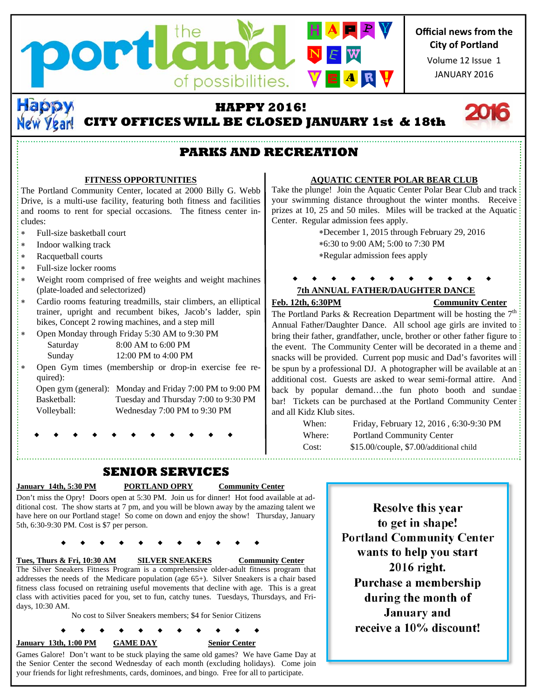**Official news from the City of Portland** 

> JANUARY 2016 Volume 12 Issue 1





# **HAPPY 2016!**





# **PARKS AND RECREATION**

### **FITNESS OPPORTUNITIES**

The Portland Community Center, located at 2000 Billy G. Webb Drive, is a multi-use facility, featuring both fitness and facilities and rooms to rent for special occasions. The fitness center includes:

- Full-size basketball court
- Indoor walking track
- Racquetball courts
- Full-size locker rooms
- Weight room comprised of free weights and weight machines (plate-loaded and selectorized)
- Cardio rooms featuring treadmills, stair climbers, an elliptical trainer, upright and recumbent bikes, Jacob's ladder, spin bikes, Concept 2 rowing machines, and a step mill
- Open Monday through Friday 5:30 AM to 9:30 PM Saturday 8:00 AM to 6:00 PM Sunday 12:00 PM to 4:00 PM
- Open Gym times (membership or drop-in exercise fee required):

Open gym (general): Monday and Friday 7:00 PM to 9:00 PM Basketball: Tuesday and Thursday 7:00 to 9:30 PM Volleyball: Wednesday 7:00 PM to 9:30 PM

........................

### **AQUATIC CENTER POLAR BEAR CLUB**

Take the plunge! Join the Aquatic Center Polar Bear Club and track your swimming distance throughout the winter months. Receive prizes at 10, 25 and 50 miles. Miles will be tracked at the Aquatic Center. Regular admission fees apply.

> December 1, 2015 through February 29, 2016 6:30 to 9:00 AM; 5:00 to 7:30 PM Regular admission fees apply

# **7th ANNUAL FATHER/DAUGHTER DANCE**

### **Feb. 12th, 6:30PM Community Center**

The Portland Parks & Recreation Department will be hosting the  $7<sup>th</sup>$ . Annual Father/Daughter Dance. All school age girls are invited to bring their father, grandfather, uncle, brother or other father figure to: the event. The Community Center will be decorated in a theme and: snacks will be provided. Current pop music and Dad's favorites will: be spun by a professional DJ. A photographer will be available at an  $\frac{1}{2}$ additional cost. Guests are asked to wear semi-formal attire. And: back by popular demand…the fun photo booth and sundae bar! Tickets can be purchased at the Portland Community Center: and all Kidz Klub sites.

| When:  | Friday, February 12, 2016, 6:30-9:30 PM |
|--------|-----------------------------------------|
| Where: | Portland Community Center               |
| Cost:  | \$15.00/couple, \$7.00/additional child |

## **SENIOR SERVICES**

### **January 14th, 5:30 PM PORTLAND OPRY Community Center**

Don't miss the Opry! Doors open at 5:30 PM. Join us for dinner! Hot food available at additional cost. The show starts at 7 pm, and you will be blown away by the amazing talent we have here on our Portland stage! So come on down and enjoy the show! Thursday, January 5th, 6:30-9:30 PM. Cost is \$7 per person.

### **Tues, Thurs & Fri, 10:30 AM SILVER SNEAKERS Community Center**

The Silver Sneakers Fitness Program is a comprehensive older-adult fitness program that addresses the needs of the Medicare population (age 65+). Silver Sneakers is a chair based fitness class focused on retraining useful movements that decline with age. This is a great class with activities paced for you, set to fun, catchy tunes. Tuesdays, Thursdays, and Fridays, 10:30 AM.

No cost to Silver Sneakers members; \$4 for Senior Citizens

**January 13th, 1:00 PM GAME DAY** 

Games Galore! Don't want to be stuck playing the same old games? We have Game Day at the Senior Center the second Wednesday of each month (excluding holidays). Come join your friends for light refreshments, cards, dominoes, and bingo. Free for all to participate.

**Resolve this year to get in shape! Portland Community Center wants to help you start 2016 right. Purchase a membership during the month of January and receive a 10% discount!**